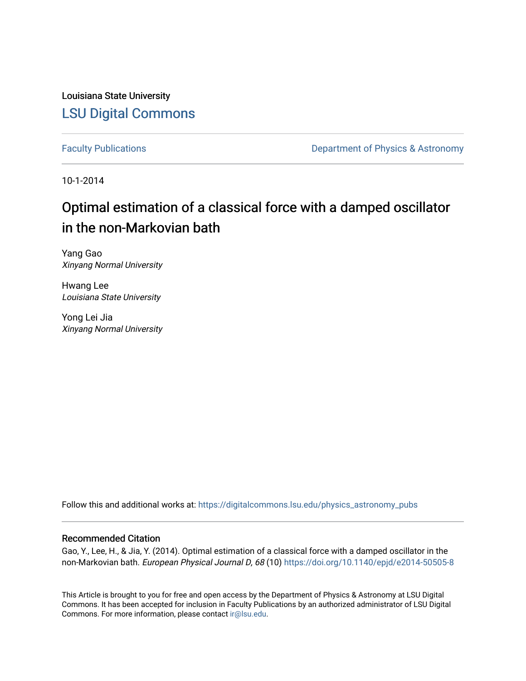Louisiana State University [LSU Digital Commons](https://digitalcommons.lsu.edu/)

[Faculty Publications](https://digitalcommons.lsu.edu/physics_astronomy_pubs) **Exercise 2 and Table 2 and Table 2 and Table 2 and Table 2 and Table 2 and Table 2 and Table 2 and Table 2 and Table 2 and Table 2 and Table 2 and Table 2 and Table 2 and Table 2 and Table 2 and Table** 

10-1-2014

# Optimal estimation of a classical force with a damped oscillator in the non-Markovian bath

Yang Gao Xinyang Normal University

Hwang Lee Louisiana State University

Yong Lei Jia Xinyang Normal University

Follow this and additional works at: [https://digitalcommons.lsu.edu/physics\\_astronomy\\_pubs](https://digitalcommons.lsu.edu/physics_astronomy_pubs?utm_source=digitalcommons.lsu.edu%2Fphysics_astronomy_pubs%2F3115&utm_medium=PDF&utm_campaign=PDFCoverPages) 

# Recommended Citation

Gao, Y., Lee, H., & Jia, Y. (2014). Optimal estimation of a classical force with a damped oscillator in the non-Markovian bath. European Physical Journal D, 68 (10) https://doi.org/10.1140/epjd/e2014-50505-8

This Article is brought to you for free and open access by the Department of Physics & Astronomy at LSU Digital Commons. It has been accepted for inclusion in Faculty Publications by an authorized administrator of LSU Digital Commons. For more information, please contact [ir@lsu.edu](mailto:ir@lsu.edu).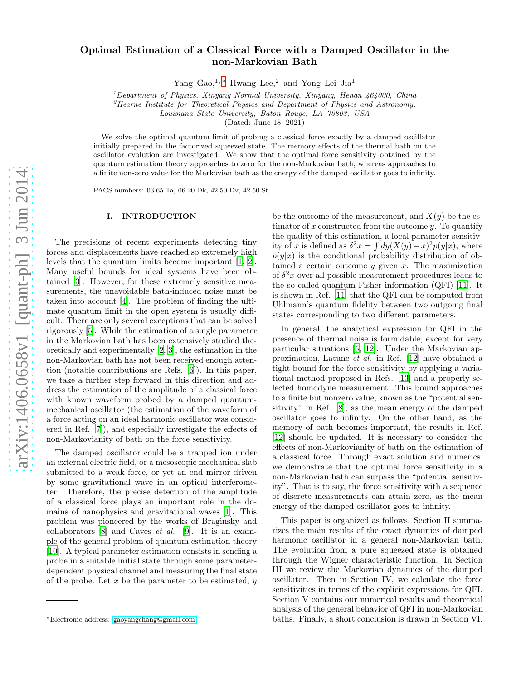# Optimal Estimation of a Classical Force with a Damped Oscillator in the non-Markovian Bath

Yang Gao,<sup>1,\*</sup> Hwang Lee,<sup>2</sup> and Yong Lei Jia<sup>1</sup>

<sup>1</sup>Department of Physics, Xinyang Normal University, Xinyang, Henan  $464000$ , China

 ${}^{2}$ Hearne Institute for Theoretical Physics and Department of Physics and Astronomy,

Louisiana State University, Baton Rouge, LA 70803, USA

(Dated: June 18, 2021)

We solve the optimal quantum limit of probing a classical force exactly by a damped oscillator initially prepared in the factorized squeezed state. The memory effects of the thermal bath on the oscillator evolution are investigated. We show that the optimal force sensitivity obtained by the quantum estimation theory approaches to zero for the non-Markovian bath, whereas approaches to a finite non-zero value for the Markovian bath as the energy of the damped oscillator goes to infinity.

PACS numbers: 03.65.Ta, 06.20.Dk, 42.50.Dv, 42.50.St

#### I. INTRODUCTION

The precisions of recent experiments detecting tiny forces and displacements have reached so extremely high levels that the quantum limits become important [\[1](#page-5-0), [2\]](#page-5-1). Many useful bounds for ideal systems have been obtained [\[3\]](#page-5-2). However, for these extremely sensitive measurements, the unavoidable bath-induced noise must be taken into account [\[4\]](#page-5-3). The problem of finding the ultimate quantum limit in the open system is usually difficult. There are only several exceptions that can be solved rigorously [\[5](#page-5-4)]. While the estimation of a single parameter in the Markovian bath has been extensively studied theoretically and experimentally [\[2,](#page-5-1) [3\]](#page-5-2), the estimation in the non-Markovian bath has not been received enough attention (notable contributions are Refs. [\[6](#page-5-5)]). In this paper, we take a further step forward in this direction and address the estimation of the amplitude of a classical force with known waveform probed by a damped quantummechanical oscillator (the estimation of the waveform of a force acting on an ideal harmonic oscillator was considered in Ref. [\[7\]](#page-5-6)), and especially investigate the effects of non-Markovianity of bath on the force sensitivity.

The damped oscillator could be a trapped ion under an external electric field, or a mesoscopic mechanical slab submitted to a weak force, or yet an end mirror driven by some gravitational wave in an optical interferometer. Therefore, the precise detection of the amplitude of a classical force plays an important role in the domains of nanophysics and gravitational waves [\[1\]](#page-5-0). This problem was pioneered by the works of Braginsky and collaborators [\[8\]](#page-5-7) and Caves et al. [\[9](#page-5-8)]. It is an example of the general problem of quantum estimation theory [\[10\]](#page-5-9). A typical parameter estimation consists in sending a probe in a suitable initial state through some parameterdependent physical channel and measuring the final state of the probe. Let  $x$  be the parameter to be estimated,  $y$ 

be the outcome of the measurement, and  $X(y)$  be the estimator of x constructed from the outcome  $y$ . To quantify the quality of this estimation, a local parameter sensitivity of x is defined as  $\delta^2 x = \int dy (X(y) - x)^2 p(y|x)$ , where  $p(y|x)$  is the conditional probability distribution of obtained a certain outcome  $y$  given  $x$ . The maximization of  $\delta^2 x$  over all possible measurement procedures leads to the so-called quantum Fisher information (QFI) [\[11\]](#page-5-10). It is shown in Ref. [\[11\]](#page-5-10) that the QFI can be computed from Uhlmann's quantum fidelity between two outgoing final states corresponding to two different parameters.

In general, the analytical expression for QFI in the presence of thermal noise is formidable, except for very particular situations [\[5](#page-5-4), [12](#page-5-11)]. Under the Markovian approximation, Latune et al. in Ref. [\[12](#page-5-11)] have obtained a tight bound for the force sensitivity by applying a variational method proposed in Refs. [\[13\]](#page-5-12) and a properly selected homodyne measurement. This bound approaches to a finite but nonzero value, known as the "potential sensitivity" in Ref. [\[8](#page-5-7)], as the mean energy of the damped oscillator goes to infinity. On the other hand, as the memory of bath becomes important, the results in Ref. [\[12\]](#page-5-11) should be updated. It is necessary to consider the effects of non-Markovianity of bath on the estimation of a classical force. Through exact solution and numerics, we demonstrate that the optimal force sensitivity in a non-Markovian bath can surpass the "potential sensitivity". That is to say, the force sensitivity with a sequence of discrete measurements can attain zero, as the mean energy of the damped oscillator goes to infinity.

This paper is organized as follows. Section II summarizes the main results of the exact dynamics of damped harmonic oscillator in a general non-Markovian bath. The evolution from a pure squeezed state is obtained through the Wigner characteristic function. In Section III we review the Markovian dynamics of the damped oscillator. Then in Section IV, we calculate the force sensitivities in terms of the explicit expressions for QFI. Section V contains our numerical results and theoretical analysis of the general behavior of QFI in non-Markovian baths. Finally, a short conclusion is drawn in Section VI.

<span id="page-1-0"></span><sup>∗</sup>Electronic address: [gaoyangchang@gmail.com](mailto:gaoyangchang@gmail.com)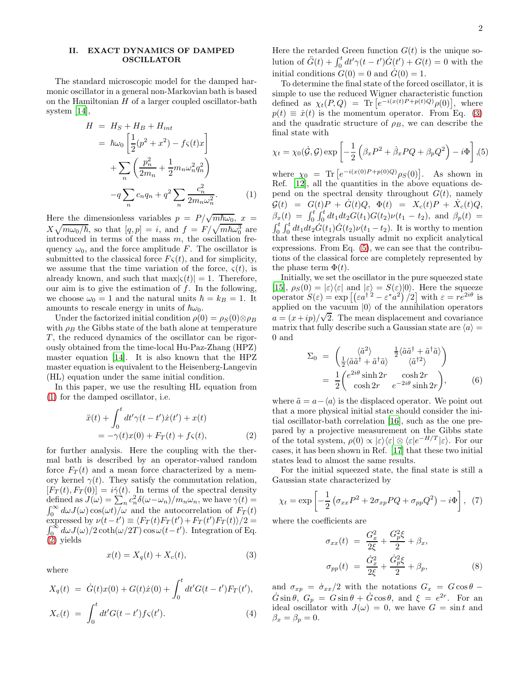## II. EXACT DYNAMICS OF DAMPED OSCILLATOR

The standard microscopic model for the damped harmonic oscillator in a general non-Markovian bath is based on the Hamiltonian  $H$  of a larger coupled oscillator-bath system [\[14\]](#page-5-13),

<span id="page-2-0"></span>
$$
H = H_S + H_B + H_{int}
$$
  
=  $\hbar \omega_0 \left[ \frac{1}{2} (p^2 + x^2) - f\varsigma(t)x \right]$   
+  $\sum_n \left( \frac{p_n^2}{2m_n} + \frac{1}{2} m_n \omega_n^2 q_n^2 \right)$   
- $q \sum_n c_n q_n + q^2 \sum_n \frac{c_n^2}{2m_n \omega_n^2}.$  (1)

Here the dimensionless variables  $p = P/\sqrt{m\hbar\omega_0}$ ,  $x =$  $X\sqrt{m\omega_0/\hbar}$ , so that  $[q, p] = i$ , and  $f = F/\sqrt{m\hbar\omega_0^3}$  are introduced in terms of the mass  $m$ , the oscillation frequency  $\omega_0$ , and the force amplitude F. The oscillator is submitted to the classical force  $F<sub>S</sub>(t)$ , and for simplicity, we assume that the time variation of the force,  $\varsigma(t)$ , is already known, and such that  $\max|\varsigma(t)| = 1$ . Therefore, our aim is to give the estimation of  $f$ . In the following, we choose  $\omega_0 = 1$  and the natural units  $\hbar = k_B = 1$ . It amounts to rescale energy in units of  $\hbar\omega_0$ .

Under the factorized initial condition  $\rho(0) = \rho_S(0) \otimes \rho_B$ with  $\rho_B$  the Gibbs state of the bath alone at temperature  $T$ , the reduced dynamics of the oscillator can be rigorously obtained from the time-local Hu-Paz-Zhang (HPZ) master equation [\[14](#page-5-13)]. It is also known that the HPZ master equation is equivalent to the Heisenberg-Langevin (HL) equation under the same initial condition.

In this paper, we use the resulting HL equation from [\(1\)](#page-2-0) for the damped oscillator, i.e.

<span id="page-2-1"></span>
$$
\ddot{x}(t) + \int_0^t dt' \gamma(t - t') \dot{x}(t') + x(t) \n= -\gamma(t)x(0) + F_T(t) + f_S(t),
$$
\n(2)

for further analysis. Here the coupling with the thermal bath is described by an operator-valued random force  $F_T(t)$  and a mean force characterized by a memory kernel  $\gamma(t)$ . They satisfy the commutation relation,  $[F_T(t), F_T(0)] = i\dot{\gamma}(t)$ . In terms of the spectral density defined as  $J(\omega) = \sum_n c_n^2 \delta(\omega - \omega_n) / m_n \omega_n$ , we have  $\gamma(t) =$  $\int_0^\infty d\omega J(\omega) \cos(\omega t) / \omega$  and the autocorrelation of  $F_T(t)$ expressed by  $\nu(t-t') \equiv \langle F_T(t) F_T(t') + F_T(t') F_T(t) \rangle / 2 =$  $\int_0^\infty d\omega J(\omega)/2 \coth(\omega/2T) \cos \omega(t-t')$ . Integration of Eq. [\(2\)](#page-2-1) yields

<span id="page-2-2"></span>
$$
x(t) = X_q(t) + X_c(t),
$$
\n(3)

where

$$
X_q(t) = \dot{G}(t)x(0) + G(t)\dot{x}(0) + \int_0^t dt' G(t - t')F_T(t'),
$$
  
\n
$$
X_c(t) = \int_0^t dt' G(t - t')f_S(t').
$$
\n(4)

Here the retarded Green function  $G(t)$  is the unique solution of  $\ddot{G}(t) + \int_0^t dt' \gamma(t - t') \dot{G}(t') + G(t) = 0$  with the initial conditions  $G(0) = 0$  and  $G(0) = 1$ .

To determine the final state of the forced oscillator, it is simple to use the reduced Wigner characteristic function defined as  $\chi_t(P,Q) = \text{Tr}\left[e^{-i(x(t)P + p(t)Q)}\rho(0)\right], \text{ where}$  $p(t) \equiv \dot{x}(t)$  is the momentum operator. From Eq. [\(3\)](#page-2-2) and the quadratic structure of  $\rho_B$ , we can describe the final state with

<span id="page-2-3"></span>
$$
\chi_t = \chi_0(\dot{\mathcal{G}}, \mathcal{G}) \exp\left[ -\frac{1}{2} \left( \beta_x P^2 + \dot{\beta}_x PQ + \beta_p Q^2 \right) - i \Phi \right], (5)
$$

where  $\chi_0 = \text{Tr} \left[ e^{-i(x(0)P + p(0)Q)} \rho_S(0) \right]$ . As shown in Ref. [\[12](#page-5-11)], all the quantities in the above equations depend on the spectral density throughout  $G(t)$ , namely  $G(t) = G(t)P + G(t)Q, \Phi(t) = X_c(t)P + X_c(t)Q,$  $\beta_x(t) = \int_0^t \int_0^t dt_1 dt_2 G(t_1) G(t_2) \nu(t_1 - t_2)$ , and  $\beta_p(t) =$  $\int_0^t \int_0^t dt_1 dt_2 \dot{G}(t_1) \dot{G}(t_2) \nu(t_1 - t_2)$ . It is worthy to mention that these integrals usually admit no explicit analytical expressions. From Eq. [\(5\)](#page-2-3), we can see that the contributions of the classical force are completely represented by the phase term  $\Phi(t)$ .

Initially, we set the oscillator in the pure squeezed state [\[15\]](#page-5-14),  $\rho_S(0) = |\varepsilon\rangle\langle\varepsilon|$  and  $|\varepsilon\rangle = S(\varepsilon)|0\rangle$ . Here the squeeze operator  $S(\varepsilon) = \exp \left[ \left( \varepsilon a^{\dagger} \right)^2 - \varepsilon^* a^2 \right) / 2 \right]$  with  $\varepsilon = r e^{2i\theta}$  is applied on the vacuum  $|0\rangle$  of the annihilation operators  $a = (x + ip)/\sqrt{2}$ . The mean displacement and covariance matrix that fully describe such a Gaussian state are  $\langle a \rangle =$ 0 and

$$
\Sigma_0 = \begin{pmatrix} \langle \tilde{a}^2 \rangle & \frac{1}{2} \langle \tilde{a}\tilde{a}^\dagger + \tilde{a}^\dagger \tilde{a} \rangle \\ \frac{1}{2} \langle \tilde{a}\tilde{a}^\dagger + \tilde{a}^\dagger \tilde{a} \rangle & \langle \tilde{a}^{\dagger 2} \rangle \end{pmatrix}
$$
  
\n
$$
= \frac{1}{2} \begin{pmatrix} e^{2i\theta} \sinh 2r & \cosh 2r \\ \cosh 2r & e^{-2i\theta} \sinh 2r \end{pmatrix}, \qquad (6)
$$

where  $\tilde{a} = a - \langle a \rangle$  is the displaced operator. We point out that a more physical initial state should consider the initial oscillator-bath correlation [\[16](#page-5-15)], such as the one prepared by a projective measurement on the Gibbs state of the total system,  $\rho(0) \propto |\varepsilon\rangle \langle \varepsilon | \otimes \langle \varepsilon | e^{-H/T} | \varepsilon \rangle$ . For our cases, it has been shown in Ref. [\[17\]](#page-5-16) that these two initial states lead to almost the same results.

For the initial squeezed state, the final state is still a Gaussian state characterized by

$$
\chi_t = \exp\left[-\frac{1}{2}\left(\sigma_{xx}P^2 + 2\sigma_{xp}PQ + \sigma_{pp}Q^2\right) - i\Phi\right], \tag{7}
$$

where the coefficients are

$$
\sigma_{xx}(t) = \frac{G_x^2}{2\xi} + \frac{G_p^2\xi}{2} + \beta_x,
$$
  

$$
\sigma_{pp}(t) = \frac{\dot{G}_x^2}{2\xi} + \frac{\dot{G}_p^2\xi}{2} + \beta_p,
$$
 (8)

and  $\sigma_{xy} = \dot{\sigma}_{xx}/2$  with the notations  $G_x = G \cos \theta$  –  $\dot{G}\sin\theta$ ,  $G_p = G\sin\theta + \dot{G}\cos\theta$ , and  $\xi = e^{2r}$ . For an ideal oscillator with  $J(\omega) = 0$ , we have  $G = \sin t$  and  $\beta_x = \beta_p = 0.$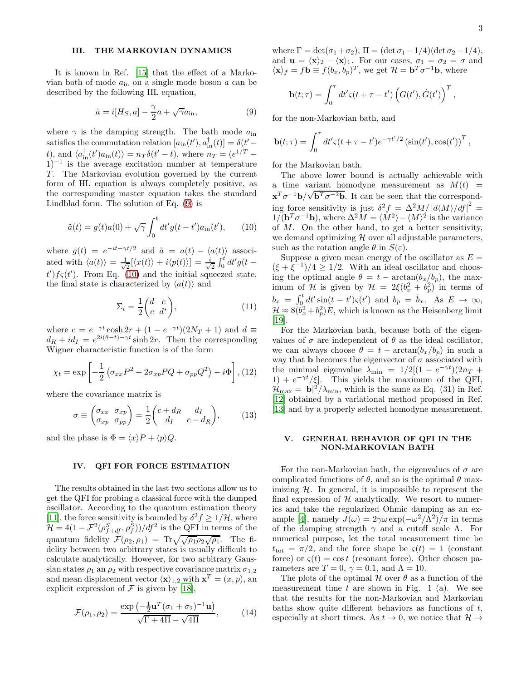# III. THE MARKOVIAN DYNAMICS

It is known in Ref. [\[15\]](#page-5-14) that the effect of a Markovian bath of mode  $a_{\text{in}}$  on a single mode boson a can be described by the following HL equation,

<span id="page-3-0"></span>
$$
\dot{a} = i[H_S, a] - \frac{\gamma}{2}a + \sqrt{\gamma}a_{\rm in},\tag{9}
$$

where  $\gamma$  is the damping strength. The bath mode  $a_{\text{in}}$ satisfies the commutation relation  $[a_{in}(t'), a_{in}^{\dagger}(t)] = \delta(t'-t')$ t), and  $\langle a_{\text{in}}^{\dagger}(t')a_{\text{in}}(t)\rangle = n_T \delta(t'-t)$ , where  $n_T = (e^{1/T} 1$ )<sup>-1</sup> is the average excitation number at temperature  $T$ . The Markovian evolution governed by the current form of HL equation is always completely positive, as the corresponding master equation takes the standard Lindblad form. The solution of Eq. [\(9\)](#page-3-0) is

<span id="page-3-1"></span>
$$
\tilde{a}(t) = g(t)a(0) + \sqrt{\gamma} \int_0^t dt' g(t - t') a_{\rm in}(t'), \qquad (10)
$$

where  $g(t) = e^{-it - \gamma t/2}$  and  $\tilde{a} = a(t) - \langle a(t) \rangle$  associated with  $\langle a(t) \rangle = \frac{1}{\sqrt{2}}$  $\frac{1}{2}[\langle x(t)\rangle + i\langle p(t)\rangle] = \frac{i}{\sqrt{2}}$  $\frac{1}{2}\int_0^t dt'g(t$  $t'$ ) $f \varsigma(t')$ . From Eq. [\(10\)](#page-3-1) and the initial squeezed state, the final state is characterized by  $\langle a(t) \rangle$  and

$$
\Sigma_t = \frac{1}{2} \begin{pmatrix} d & c \\ c & d^* \end{pmatrix},\tag{11}
$$

where  $c = e^{-\gamma t} \cosh 2r + (1 - e^{-\gamma t})(2N_T + 1)$  and  $d \equiv$  $d_R + id_I = e^{2i(\theta - t) - \gamma t} \sinh 2r$ . Then the corresponding Wigner characteristic function is of the form

$$
\chi_t = \exp\left[-\frac{1}{2}\left(\sigma_{xx}P^2 + 2\sigma_{xp}PQ + \sigma_{pp}Q^2\right) - i\Phi\right],
$$
 (12)

where the covariance matrix is

$$
\sigma \equiv \begin{pmatrix} \sigma_{xx} & \sigma_{xp} \\ \sigma_{xp} & \sigma_{pp} \end{pmatrix} = \frac{1}{2} \begin{pmatrix} c + d_R & d_I \\ d_I & c - d_R \end{pmatrix}, \quad (13)
$$

and the phase is  $\Phi = \langle x \rangle P + \langle p \rangle Q$ .

### IV. QFI FOR FORCE ESTIMATION

The results obtained in the last two sections allow us to get the QFI for probing a classical force with the damped oscillator. According to the quantum estimation theory [\[11\]](#page-5-10), the force sensitivity is bounded by  $\delta^2 f \geq 1/\mathcal{H}$ , where  $\mathcal{H} = 4(1 - \mathcal{F}^2(\rho_{f+df}^S, \rho_f^S))/df^2$  is the QFI in terms of the quantum fidelity  $\mathcal{F}(\rho_2, \rho_1) = \text{Tr}\sqrt{\sqrt{\rho_1 \rho_2 \sqrt{\rho_1}}}.$  The fidelity between two arbitrary states is usually difficult to calculate analytically. However, for two arbitrary Gaussian states  $\rho_1$  an  $\rho_2$  with respective covariance matrix  $\sigma_{1,2}$ and mean displacement vector  $\langle \mathbf{x} \rangle_{1,2}$  with  $\mathbf{x}^T = (x, p)$ , an explicit expression of  $\mathcal F$  is given by [\[18\]](#page-5-17),

$$
\mathcal{F}(\rho_1, \rho_2) = \frac{\exp\left(-\frac{1}{2}\mathbf{u}^T(\sigma_1 + \sigma_2)^{-1}\mathbf{u}\right)}{\sqrt{\Gamma + 4\Pi} - \sqrt{4\Pi}},\tag{14}
$$

where  $\Gamma = \det(\sigma_1 + \sigma_2)$ ,  $\Pi = (\det \sigma_1 - 1/4)(\det \sigma_2 - 1/4)$ , and  $\mathbf{u} = \langle \mathbf{x} \rangle_2 - \langle \mathbf{x} \rangle_1$ . For our cases,  $\sigma_1 = \sigma_2 = \sigma$  and  $\langle \mathbf{x} \rangle_f = f \mathbf{b} \equiv f(b_x, b_p)^T$ , we get  $\mathcal{H} = \mathbf{b}^T \sigma^{-1} \mathbf{b}$ , where

$$
\mathbf{b}(t;\tau) = \int_0^{\tau} dt' \varsigma(t+\tau-t') \left( G(t'), \dot{G}(t') \right)^T,
$$

for the non-Markovian bath, and

$$
\mathbf{b}(t;\tau) = \int_0^{\tau} dt' \varsigma (t + \tau - t') e^{-\gamma t'/2} (\sin(t'), \cos(t'))^T,
$$

for the Markovian bath.

The above lower bound is actually achievable with a time variant homodyne measurement as  $M(t)$  =  $\mathbf{x}^T \sigma^{-1} \mathbf{b} / \sqrt{\mathbf{b}^T \sigma^{-2} \mathbf{b}}$ . It can be seen that the corresponding force sensitivity is just  $\delta^2 f = \Delta^2 M / |d\langle M\rangle/df|^2 =$  $1/(\mathbf{b}^T \sigma^{-1} \mathbf{b})$ , where  $\Delta^2 M = \langle M^2 \rangle - \langle M \rangle^2$  is the variance of  $M$ . On the other hand, to get a better sensitivity, we demand optimizing  $H$  over all adjustable parameters, such as the rotation angle  $\theta$  in  $S(\varepsilon)$ .

Suppose a given mean energy of the oscillator as  $E =$  $(\xi + \xi^{-1})/4 \ge 1/2$ . With an ideal oscillator and choosing the optimal angle  $\theta = t - \arctan(b_x/b_p)$ , the maximum of H is given by  $\mathcal{H} = 2\xi(b_x^2 + b_p^2)$  in terms of  $b_x = \int_0^t dt' \sin(t - t')\varsigma(t')$  and  $b_p = \dot{b}_x$ . As  $E \to \infty$ ,  $\mathcal{H} \approx 8(b_x^2 + b_p^2)E$ , which is known as the Heisenberg limit [\[19\]](#page-5-18).

For the Markovian bath, because both of the eigenvalues of  $\sigma$  are independent of  $\theta$  as the ideal oscillator, we can always choose  $\theta = t - \arctan(b_x/b_p)$  in such a way that **b** becomes the eigenvector of  $\sigma$  associated with the minimal eigenvalue  $\lambda_{\min} = 1/2[(1 - e^{-\gamma t})(2n_T +$ 1) +  $e^{-\gamma t}/\xi$ . This yields the maximum of the QFI,  $\mathcal{H}_{\text{max}} = |\mathbf{b}|^2 / \lambda_{\text{min}}$ , which is the same as Eq. (31) in Ref. [\[12\]](#page-5-11) obtained by a variational method proposed in Ref. [\[13\]](#page-5-12) and by a properly selected homodyne measurement.

# V. GENERAL BEHAVIOR OF QFI IN THE NON-MARKOVIAN BATH

For the non-Markovian bath, the eigenvalues of  $\sigma$  are complicated functions of  $\theta$ , and so is the optimal  $\theta$  maximizing  $H$ . In general, it is impossible to represent the final expression of  $H$  analytically. We resort to numerics and take the regularized Ohmic damping as an ex-ample [\[4](#page-5-3)], namely  $J(\omega) = 2\gamma \omega \exp(-\omega^2/\Lambda^2)/\pi$  in terms of the damping strength  $\gamma$  and a cutoff scale  $\Lambda$ . For numerical purpose, let the total measurement time be  $t_{\text{tot}} = \pi/2$ , and the force shape be  $\varsigma(t) = 1$  (constant force) or  $\varsigma(t) = \cos t$  (resonant force). Other chosen parameters are  $T = 0$ ,  $\gamma = 0.1$ , and  $\Lambda = 10$ .

The plots of the optimal H over  $\theta$  as a function of the measurement time t are shown in Fig. 1 (a). We see that the results for the non-Markovian and Markovian baths show quite different behaviors as functions of  $t$ , especially at short times. As  $t \to 0$ , we notice that  $\mathcal{H} \to$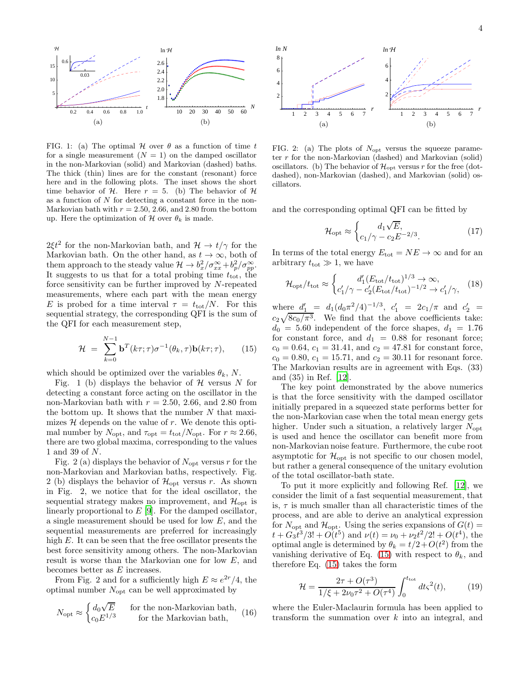

FIG. 1: (a) The optimal  $H$  over  $\theta$  as a function of time t for a single measurement  $(N = 1)$  on the damped oscillator in the non-Markovian (solid) and Markovian (dashed) baths. The thick (thin) lines are for the constant (resonant) force here and in the following plots. The inset shows the short time behavior of H. Here  $r = 5$ . (b) The behavior of H as a function of  $N$  for detecting a constant force in the non-Markovian bath with  $r = 2.50, 2.66,$  and 2.80 from the bottom up. Here the optimization of H over  $\theta_k$  is made.

 $2\xi t^2$  for the non-Markovian bath, and  $\mathcal{H} \to t/\gamma$  for the Markovian bath. On the other hand, as  $t \to \infty$ , both of them approach to the steady value  $\mathcal{H} \to b_x^2/\sigma_{xx}^{\infty} + b_p^2/\sigma_{pp}^{\infty}$ . It suggests to us that for a total probing time  $t_{\text{tot}}$ , the force sensitivity can be further improved by N-repeated measurements, where each part with the mean energy E is probed for a time interval  $\tau = t_{\text{tot}}/N$ . For this sequential strategy, the corresponding QFI is the sum of the QFI for each measurement step,

<span id="page-4-0"></span>
$$
\mathcal{H} = \sum_{k=0}^{N-1} \mathbf{b}^T(k\tau;\tau)\sigma^{-1}(\theta_k,\tau)\mathbf{b}(k\tau;\tau), \qquad (15)
$$

which should be optimized over the variables  $\theta_k$ , N.

Fig. 1 (b) displays the behavior of  $H$  versus N for detecting a constant force acting on the oscillator in the non-Markovian bath with  $r = 2.50, 2.66,$  and 2.80 from the bottom up. It shows that the number  $N$  that maximizes  $H$  depends on the value of  $r$ . We denote this optimal number by  $N_{\text{opt}}$ , and  $\tau_{\text{opt}} = t_{\text{tot}}/N_{\text{opt}}$ . For  $r \approx 2.66$ , there are two global maxima, corresponding to the values 1 and 39 of N.

Fig. 2 (a) displays the behavior of  $N_{\text{opt}}$  versus r for the non-Markovian and Markovian baths, respectively. Fig. 2 (b) displays the behavior of  $\mathcal{H}_{\text{opt}}$  versus r. As shown in Fig. 2, we notice that for the ideal oscillator, the sequential strategy makes no improvement, and  $\mathcal{H}_{\text{opt}}$  is linearly proportional to  $E$  [\[9\]](#page-5-8). For the damped oscillator, a single measurement should be used for low E, and the sequential measurements are preferred for increasingly high E. It can be seen that the free oscillator presents the best force sensitivity among others. The non-Markovian result is worse than the Markovian one for low E, and becomes better as E increases.

From Fig. 2 and for a sufficiently high  $E \approx e^{2r}/4$ , the optimal number  $N_{\text{opt}}$  can be well approximated by

$$
N_{\rm opt} \approx \begin{cases} d_0 \sqrt{E} & \text{for the non-Markovian bath,} \\ c_0 E^{1/3} & \text{for the Markovian bath,} \end{cases}
$$
 (16)



FIG. 2: (a) The plots of  $N_{\text{opt}}$  versus the squeeze parameter r for the non-Markovian (dashed) and Markovian (solid) oscillators. (b) The behavior of  $\mathcal{H}_{\text{opt}}$  versus r for the free (dotdashed), non-Markovian (dashed), and Markovian (solid) oscillators.

and the corresponding optimal QFI can be fitted by

$$
\mathcal{H}_{\rm opt} \approx \begin{cases} d_1 \sqrt{E}, \\ c_1/\gamma - c_2 E^{-2/3}. \end{cases}
$$
 (17)

In terms of the total energy  $E_{\rm tot} = N E \rightarrow \infty$  and for an arbitrary  $t_{\text{tot}} \gg 1$ , we have

$$
\mathcal{H}_{\rm opt}/t_{\rm tot} \approx \begin{cases} d'_1 (E_{\rm tot}/t_{\rm tot})^{1/3} \to \infty, \\ c'_1/\gamma - c'_2 (E_{\rm tot}/t_{\rm tot})^{-1/2} \to c'_1/\gamma, \end{cases} (18)
$$

where  $d'_1 = d_1(d_0\pi^2/4)^{-1/3}$ ,  $c'_1 = 2c_1/\pi$  and  $c'_2 =$  $c_2\sqrt{8c_0/\pi^3}$ . We find that the above coefficients take:  $d_0 = 5.60$  independent of the force shapes,  $d_1 = 1.76$ for constant force, and  $d_1 = 0.88$  for resonant force;  $c_0 = 0.64$ ,  $c_1 = 31.41$ , and  $c_2 = 47.81$  for constant force,  $c_0 = 0.80, c_1 = 15.71,$  and  $c_2 = 30.11$  for resonant force. The Markovian results are in agreement with Eqs. (33) and (35) in Ref. [\[12\]](#page-5-11).

The key point demonstrated by the above numerics is that the force sensitivity with the damped oscillator initially prepared in a squeezed state performs better for the non-Markovian case when the total mean energy gets higher. Under such a situation, a relatively larger  $N_{\text{opt}}$ is used and hence the oscillator can benefit more from non-Markovian noise feature. Furthermore, the cube root asymptotic for  $\mathcal{H}_{\text{opt}}$  is not specific to our chosen model, but rather a general consequence of the unitary evolution of the total oscillator-bath state.

To put it more explicitly and following Ref. [\[12](#page-5-11)], we consider the limit of a fast sequential measurement, that is,  $\tau$  is much smaller than all characteristic times of the process, and are able to derive an analytical expression for  $N_{\text{opt}}$  and  $\mathcal{H}_{\text{opt}}$ . Using the series expansions of  $G(t)$  =  $t + G_3 \dot{t}^3/3! + O(\dot{t}^5)$  and  $\nu(t) = \nu_0 + \nu_2 t^2/2! + O(t^4)$ , the optimal angle is determined by  $\theta_k = t/2 + O(t^2)$  from the vanishing derivative of Eq. [\(15\)](#page-4-0) with respect to  $\theta_k$ , and therefore Eq. [\(15\)](#page-4-0) takes the form

$$
\mathcal{H} = \frac{2\tau + O(\tau^3)}{1/\xi + 2\nu_0 \tau^2 + O(\tau^4)} \int_0^{t_{\text{tot}}} dt \varsigma^2(t), \tag{19}
$$

where the Euler-Maclaurin formula has been applied to transform the summation over k into an integral, and